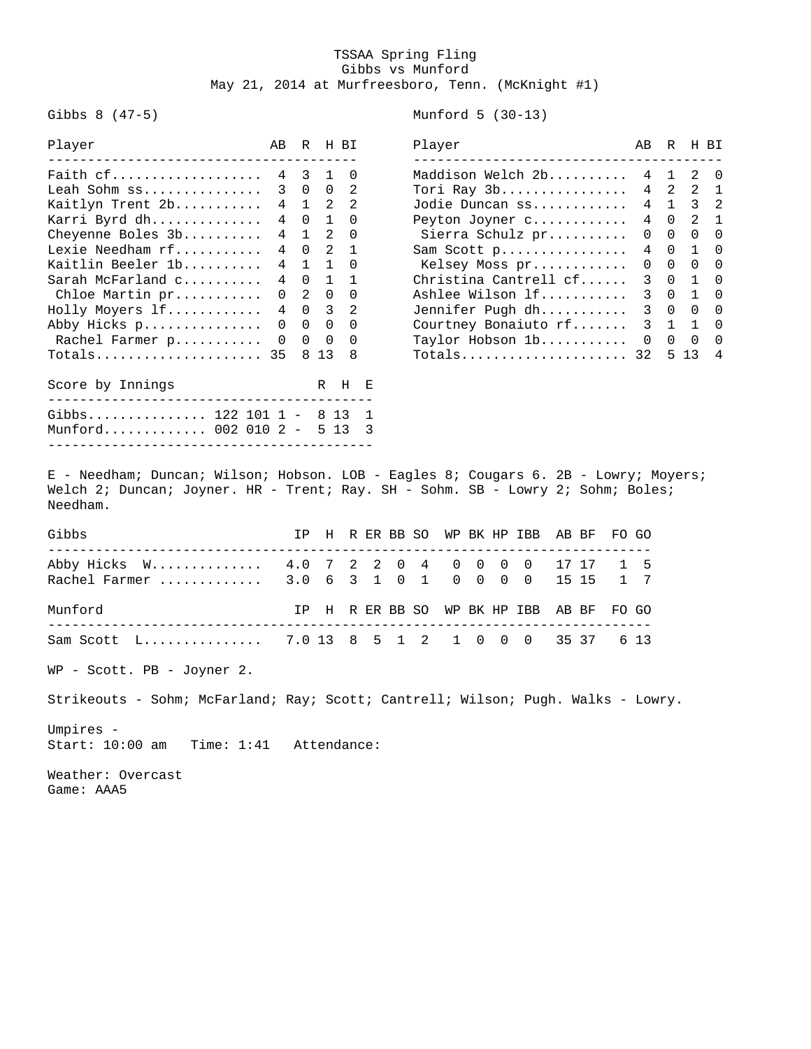## TSSAA Spring Fling Gibbs vs Munford May 21, 2014 at Murfreesboro, Tenn. (McKnight #1)

Gibbs 8 (47-5) Munford 5 (30-13)

| Player<br>___________________________________ | AB           |          |                | R H BI         |   | Player<br>______________________________ | AB       | R              | H BI           |                |
|-----------------------------------------------|--------------|----------|----------------|----------------|---|------------------------------------------|----------|----------------|----------------|----------------|
| Faith $cf.$ 4 3 1 0                           |              |          |                |                |   | Maddison Welch 2b 4 1 2                  |          |                |                | - 0            |
| Leah Sohm $ss$ 3 0                            |              |          | $\overline{0}$ | 2              |   | Tori Ray $3b$ 4 2 2                      |          |                |                | $\overline{1}$ |
| Kaitlyn Trent 2b                              |              |          | 4 1 2          | 2              |   | Jodie Duncan $ss$ 4 1 3                  |          |                |                | 2              |
| Karri Byrd dh                                 |              |          | 4 0 1          | $\Omega$       |   | Peyton Joyner c 4 0 2 1                  |          |                |                |                |
| Cheyenne Boles 3b                             |              |          | 4 1 2          | $\Omega$       |   | Sierra Schulz pr                         | $\Omega$ | $\Omega$       | $\Omega$       | $\Omega$       |
| Lexie Needham rf                              | 4            | $\Omega$ | 2              |                |   | Sam Scott p                              | 4        | $\Omega$       | $\mathbf{1}$   | $\Omega$       |
| Kaitlin Beeler 1b                             |              |          | 4 1 1          | $\Omega$       |   | Kelsey Moss pr                           | $\Omega$ | $\Omega$       | $\cap$         | $\Omega$       |
| Sarah McFarland c 4                           |              | $\Omega$ | $\overline{1}$ | $\overline{1}$ |   | Christina Cantrell cf                    | 3        | $\Omega$       | $\overline{1}$ | $\Omega$       |
| Chloe Martin pr                               | $\Omega$     |          | 2 0            | $\Omega$       |   | Ashlee Wilson If                         | 3        | $\overline{0}$ | $\overline{1}$ | $\Omega$       |
| Holly Moyers lf                               | 4            |          | $0 \quad 3$    | -2             |   | Jennifer Pugh dh                         | 3        | $\Omega$       | $\Omega$       | $\Omega$       |
| Abby Hicks p                                  | $\Omega$     | $\Omega$ | $\Omega$       | $\Omega$       |   | Courtney Bonaiuto rf                     |          | $3 \quad 1$    | $\overline{1}$ | $\Omega$       |
| Rachel Farmer p                               | <sup>O</sup> | $\Omega$ | $\overline{0}$ | $\Omega$       |   | Taylor Hobson $1b$ $0$                   |          | $\Omega$       | $\overline{0}$ | $\Omega$       |
| $Totals$ 35                                   |              |          | 8 1 3          | 8              |   |                                          |          |                | 5 1 3          | 4              |
| Score by Innings<br>__________________        |              |          | R              | H E            |   |                                          |          |                |                |                |
| $Gibbs$ 122 101 1 -                           |              |          |                | 8 1 3 1        |   |                                          |          |                |                |                |
| Munford 002 010 2 -                           |              |          | 5 13           |                | 3 |                                          |          |                |                |                |

| Player                | AВ | R              |               | H RT           |
|-----------------------|----|----------------|---------------|----------------|
| Maddison Welch 2b     | 4  | $\mathbf{1}$   | 2             | 0              |
| Tori Ray 3b           | 4  | $\overline{2}$ | $\mathcal{L}$ | 1              |
| Jodie Duncan ss       | 4  | 1              | 3             | $\mathfrak{D}$ |
| Peyton Joyner c       | 4  | 0              | $\mathcal{L}$ | 1              |
| Sierra Schulz pr      | 0  | 0              | O             | O              |
| Sam Scott p           | 4  | 0              | 1             | O              |
| Kelsey Moss pr        | 0  | 0              | O             | U              |
| Christina Cantrell cf | 3  | 0              | 1             | U              |
| Ashlee Wilson lf      | 3  | 0              | 1             | U              |
| Jennifer Pugh dh      | 3  | 0              | O             | O              |
| Courtney Bonaiuto rf  | 3  | $\mathbf{1}$   | 1             | U              |
| Taylor Hobson 1b      | 0  | 0              | O             | O              |
| Totals                | 32 | 5              | 13            | 4              |

E - Needham; Duncan; Wilson; Hobson. LOB - Eagles 8; Cougars 6. 2B - Lowry; Moyers; Welch 2; Duncan; Joyner. HR - Trent; Ray. SH - Sohm. SB - Lowry 2; Sohm; Boles; Needham.

| Gibbs                                                                                          |  |  |  |  | IP H R ER BB SO WP BK HP IBB AB BF FO GO |  |  |
|------------------------------------------------------------------------------------------------|--|--|--|--|------------------------------------------|--|--|
| Abby Hicks W 4.0 7 2 2 0 4 0 0 0 0 17 17 1 5<br>Rachel Farmer  3.0 6 3 1 0 1 0 0 0 0 15 15 1 7 |  |  |  |  |                                          |  |  |
| Munford                                                                                        |  |  |  |  | IP H R ER BB SO WP BK HP IBB AB BF FO GO |  |  |
| Sam Scott L 7.0 13 8 5 1 2 1 0 0 0 35 37 6 13                                                  |  |  |  |  |                                          |  |  |

WP - Scott. PB - Joyner 2.

Strikeouts - Sohm; McFarland; Ray; Scott; Cantrell; Wilson; Pugh. Walks - Lowry.

Umpires - Start: 10:00 am Time: 1:41 Attendance:

Weather: Overcast Game: AAA5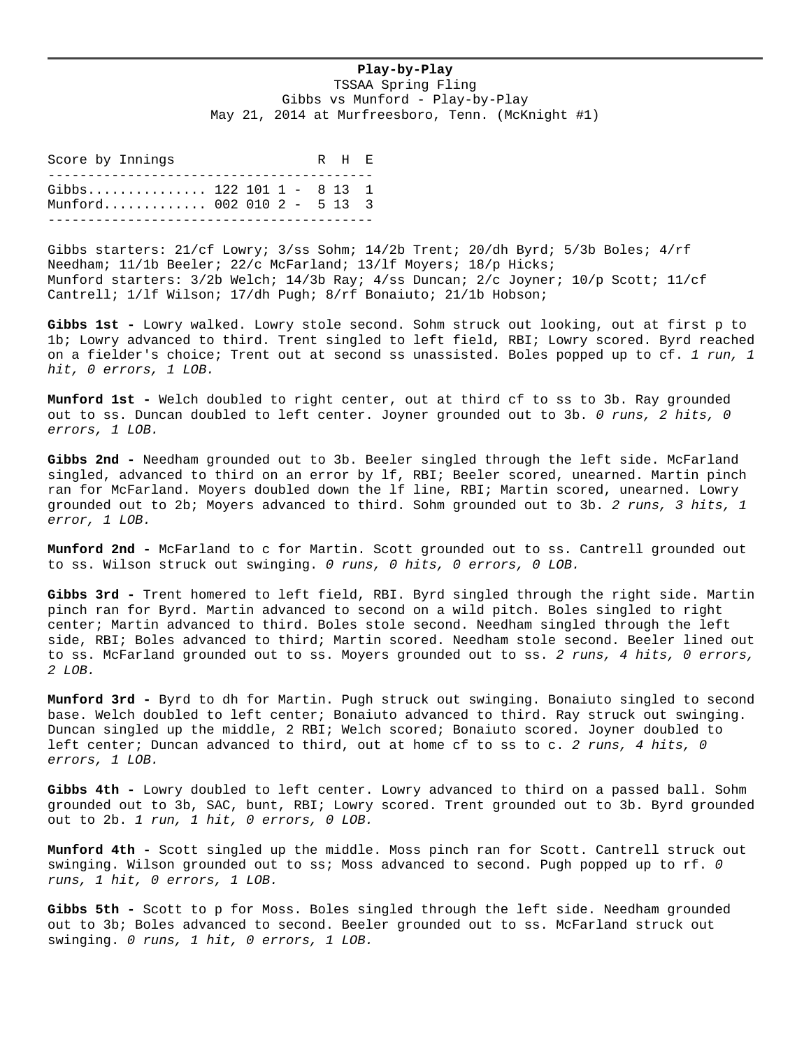## **Play-by-Play**

TSSAA Spring Fling Gibbs vs Munford - Play-by-Play May 21, 2014 at Murfreesboro, Tenn. (McKnight #1)

Score by Innings The R H E ----------------------------------------- Gibbs................. 122 101 1 - 8 13 1 Munford............. 002 010 2 - 5 13 3 -----------------------------------------

Gibbs starters: 21/cf Lowry; 3/ss Sohm; 14/2b Trent; 20/dh Byrd; 5/3b Boles; 4/rf Needham; 11/1b Beeler; 22/c McFarland; 13/lf Moyers; 18/p Hicks; Munford starters: 3/2b Welch; 14/3b Ray; 4/ss Duncan; 2/c Joyner; 10/p Scott; 11/cf Cantrell; 1/lf Wilson; 17/dh Pugh; 8/rf Bonaiuto; 21/1b Hobson;

**Gibbs 1st -** Lowry walked. Lowry stole second. Sohm struck out looking, out at first p to 1b; Lowry advanced to third. Trent singled to left field, RBI; Lowry scored. Byrd reached on a fielder's choice; Trent out at second ss unassisted. Boles popped up to cf. *1 run, 1 hit, 0 errors, 1 LOB.*

**Munford 1st -** Welch doubled to right center, out at third cf to ss to 3b. Ray grounded out to ss. Duncan doubled to left center. Joyner grounded out to 3b. *0 runs, 2 hits, 0 errors, 1 LOB.*

Gibbs 2nd - Needham grounded out to 3b. Beeler singled through the left side. McFarland singled, advanced to third on an error by lf, RBI; Beeler scored, unearned. Martin pinch ran for McFarland. Moyers doubled down the lf line, RBI; Martin scored, unearned. Lowry grounded out to 2b; Moyers advanced to third. Sohm grounded out to 3b. *2 runs, 3 hits, 1 error, 1 LOB.*

**Munford 2nd -** McFarland to c for Martin. Scott grounded out to ss. Cantrell grounded out to ss. Wilson struck out swinging. *0 runs, 0 hits, 0 errors, 0 LOB.*

**Gibbs 3rd -** Trent homered to left field, RBI. Byrd singled through the right side. Martin pinch ran for Byrd. Martin advanced to second on a wild pitch. Boles singled to right center; Martin advanced to third. Boles stole second. Needham singled through the left side, RBI; Boles advanced to third; Martin scored. Needham stole second. Beeler lined out to ss. McFarland grounded out to ss. Moyers grounded out to ss. *2 runs, 4 hits, 0 errors, 2 LOB.*

**Munford 3rd -** Byrd to dh for Martin. Pugh struck out swinging. Bonaiuto singled to second base. Welch doubled to left center; Bonaiuto advanced to third. Ray struck out swinging. Duncan singled up the middle, 2 RBI; Welch scored; Bonaiuto scored. Joyner doubled to left center; Duncan advanced to third, out at home cf to ss to c. *2 runs, 4 hits, 0 errors, 1 LOB.*

**Gibbs 4th -** Lowry doubled to left center. Lowry advanced to third on a passed ball. Sohm grounded out to 3b, SAC, bunt, RBI; Lowry scored. Trent grounded out to 3b. Byrd grounded out to 2b. *1 run, 1 hit, 0 errors, 0 LOB.*

**Munford 4th -** Scott singled up the middle. Moss pinch ran for Scott. Cantrell struck out swinging. Wilson grounded out to ss; Moss advanced to second. Pugh popped up to rf. *0 runs, 1 hit, 0 errors, 1 LOB.*

**Gibbs 5th -** Scott to p for Moss. Boles singled through the left side. Needham grounded out to 3b; Boles advanced to second. Beeler grounded out to ss. McFarland struck out swinging. *0 runs, 1 hit, 0 errors, 1 LOB.*